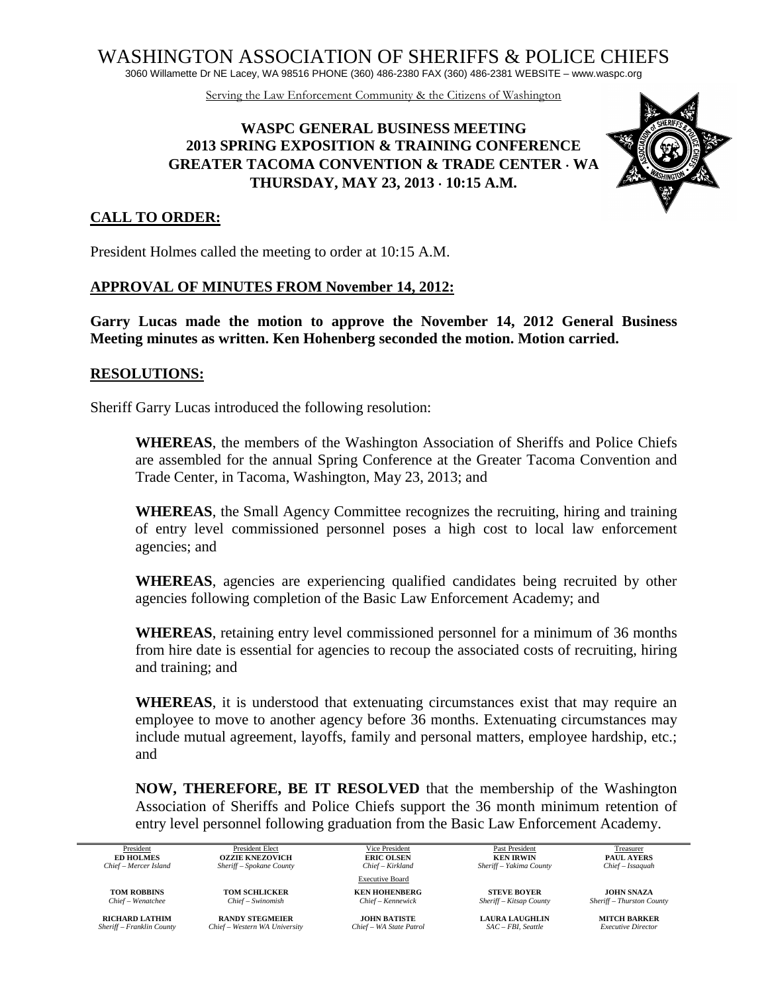WASHINGTON ASSOCIATION OF SHERIFFS & POLICE CHIEFS

3060 Willamette Dr NE Lacey, WA 98516 PHONE (360) 486-2380 FAX (360) 486-2381 WEBSITE – www.waspc.org

Serving the Law Enforcement Community & the Citizens of Washington

# **WASPC GENERAL BUSINESS MEETING 2013 SPRING EXPOSITION & TRAINING CONFERENCE GREATER TACOMA CONVENTION & TRADE CENTER** ⋅ **WA THURSDAY, MAY 23, 2013** ⋅ **10:15 A.M.**



#### **CALL TO ORDER:**

President Holmes called the meeting to order at 10:15 A.M.

#### **APPROVAL OF MINUTES FROM November 14, 2012:**

**Garry Lucas made the motion to approve the November 14, 2012 General Business Meeting minutes as written. Ken Hohenberg seconded the motion. Motion carried.**

#### **RESOLUTIONS:**

Sheriff Garry Lucas introduced the following resolution:

**WHEREAS**, the members of the Washington Association of Sheriffs and Police Chiefs are assembled for the annual Spring Conference at the Greater Tacoma Convention and Trade Center, in Tacoma, Washington, May 23, 2013; and

**WHEREAS**, the Small Agency Committee recognizes the recruiting, hiring and training of entry level commissioned personnel poses a high cost to local law enforcement agencies; and

**WHEREAS**, agencies are experiencing qualified candidates being recruited by other agencies following completion of the Basic Law Enforcement Academy; and

**WHEREAS**, retaining entry level commissioned personnel for a minimum of 36 months from hire date is essential for agencies to recoup the associated costs of recruiting, hiring and training; and

**WHEREAS**, it is understood that extenuating circumstances exist that may require an employee to move to another agency before 36 months. Extenuating circumstances may include mutual agreement, layoffs, family and personal matters, employee hardship, etc.; and

**NOW, THEREFORE, BE IT RESOLVED** that the membership of the Washington Association of Sheriffs and Police Chiefs support the 36 month minimum retention of entry level personnel following graduation from the Basic Law Enforcement Academy.

President President Elect **President Elect** Vice President **Past President** Past President **Past President** Treasurer **ED HOLMES OZZIE KNEZOVICH ERIC OLSEN KEN IRWIN PAUL AYERS Chief** - Mercer Island Sheriff - Spokane County **Chief - Kirkland** Sheriff - Yakima County **Chief** - Alexandation **ERIC OLSEN** *Chief – Mercer Island Sheriff – Spokane County Chief – Kirkland Sheriff – Yakima County Chief – Issaquah*

**RICHARD LATHIM RANDY STEGMEIER JOHN BATISTE LAURA LAUGHLIN MITCH BARKER** *Sheriff – Franklin County Chief – Western WA University Chief – WA State Patrol SAC – FBI, Seattle Executive Director Sheriff – Franklin County Chief – Western WA University Chief – WA State Patrol SAC – FBI, Seattle Executive Director*

Executive Board

**TOM ROBBINS TOM SCHLICKER KEN HOHENBERG STEVE BOYER JOHN SNAZA**<br> *Chief* – Wenatchee Chief – Swinomish Chief – Kennewick Sheriff – Kitsap County Sheriff – Thurston County *Chief – Wenatchee Chief – Swinomish Chief – Kennewick Sheriff – Kitsap County Sheriff – Thurston County*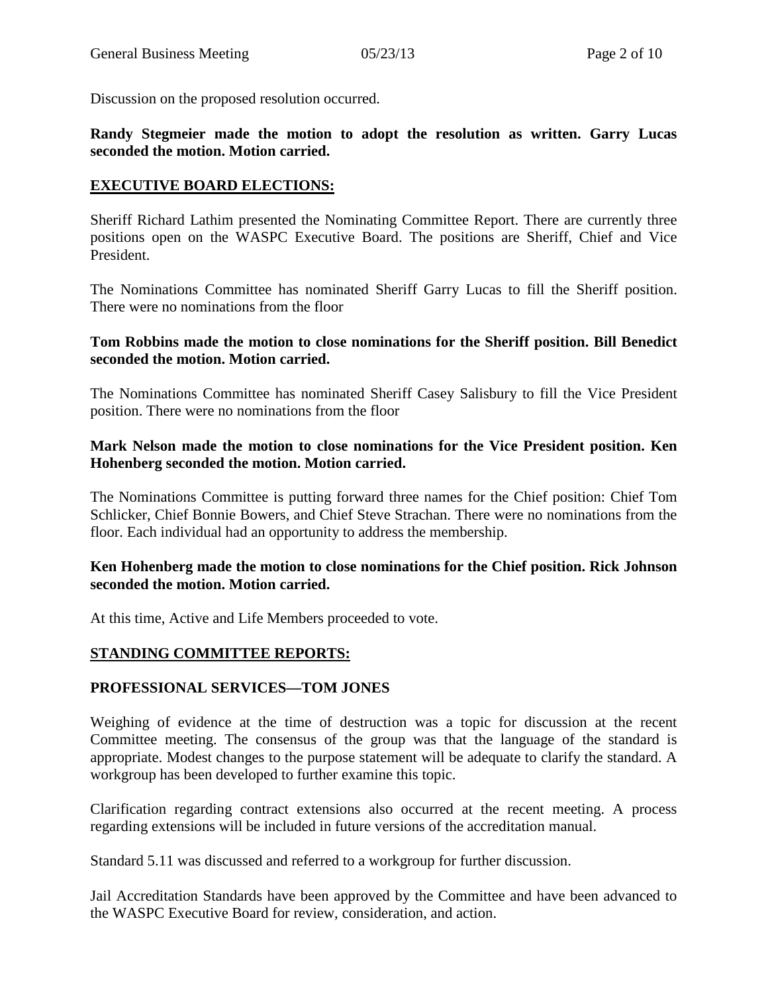Discussion on the proposed resolution occurred.

## **Randy Stegmeier made the motion to adopt the resolution as written. Garry Lucas seconded the motion. Motion carried.**

## **EXECUTIVE BOARD ELECTIONS:**

Sheriff Richard Lathim presented the Nominating Committee Report. There are currently three positions open on the WASPC Executive Board. The positions are Sheriff, Chief and Vice President.

The Nominations Committee has nominated Sheriff Garry Lucas to fill the Sheriff position. There were no nominations from the floor

## **Tom Robbins made the motion to close nominations for the Sheriff position. Bill Benedict seconded the motion. Motion carried.**

The Nominations Committee has nominated Sheriff Casey Salisbury to fill the Vice President position. There were no nominations from the floor

## **Mark Nelson made the motion to close nominations for the Vice President position. Ken Hohenberg seconded the motion. Motion carried.**

The Nominations Committee is putting forward three names for the Chief position: Chief Tom Schlicker, Chief Bonnie Bowers, and Chief Steve Strachan. There were no nominations from the floor. Each individual had an opportunity to address the membership.

#### **Ken Hohenberg made the motion to close nominations for the Chief position. Rick Johnson seconded the motion. Motion carried.**

At this time, Active and Life Members proceeded to vote.

## **STANDING COMMITTEE REPORTS:**

## **PROFESSIONAL SERVICES—TOM JONES**

Weighing of evidence at the time of destruction was a topic for discussion at the recent Committee meeting. The consensus of the group was that the language of the standard is appropriate. Modest changes to the purpose statement will be adequate to clarify the standard. A workgroup has been developed to further examine this topic.

Clarification regarding contract extensions also occurred at the recent meeting. A process regarding extensions will be included in future versions of the accreditation manual.

Standard 5.11 was discussed and referred to a workgroup for further discussion.

Jail Accreditation Standards have been approved by the Committee and have been advanced to the WASPC Executive Board for review, consideration, and action.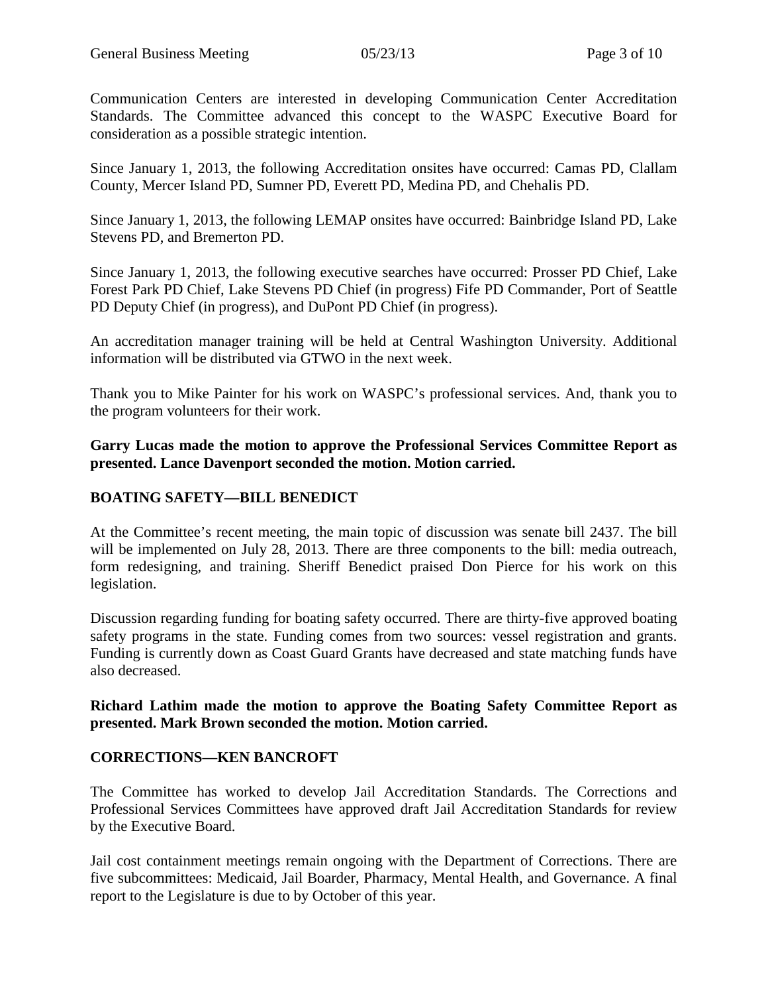Communication Centers are interested in developing Communication Center Accreditation Standards. The Committee advanced this concept to the WASPC Executive Board for consideration as a possible strategic intention.

Since January 1, 2013, the following Accreditation onsites have occurred: Camas PD, Clallam County, Mercer Island PD, Sumner PD, Everett PD, Medina PD, and Chehalis PD.

Since January 1, 2013, the following LEMAP onsites have occurred: Bainbridge Island PD, Lake Stevens PD, and Bremerton PD.

Since January 1, 2013, the following executive searches have occurred: Prosser PD Chief, Lake Forest Park PD Chief, Lake Stevens PD Chief (in progress) Fife PD Commander, Port of Seattle PD Deputy Chief (in progress), and DuPont PD Chief (in progress).

An accreditation manager training will be held at Central Washington University. Additional information will be distributed via GTWO in the next week.

Thank you to Mike Painter for his work on WASPC's professional services. And, thank you to the program volunteers for their work.

**Garry Lucas made the motion to approve the Professional Services Committee Report as presented. Lance Davenport seconded the motion. Motion carried.**

# **BOATING SAFETY—BILL BENEDICT**

At the Committee's recent meeting, the main topic of discussion was senate bill 2437. The bill will be implemented on July 28, 2013. There are three components to the bill: media outreach, form redesigning, and training. Sheriff Benedict praised Don Pierce for his work on this legislation.

Discussion regarding funding for boating safety occurred. There are thirty-five approved boating safety programs in the state. Funding comes from two sources: vessel registration and grants. Funding is currently down as Coast Guard Grants have decreased and state matching funds have also decreased.

#### **Richard Lathim made the motion to approve the Boating Safety Committee Report as presented. Mark Brown seconded the motion. Motion carried.**

## **CORRECTIONS—KEN BANCROFT**

The Committee has worked to develop Jail Accreditation Standards. The Corrections and Professional Services Committees have approved draft Jail Accreditation Standards for review by the Executive Board.

Jail cost containment meetings remain ongoing with the Department of Corrections. There are five subcommittees: Medicaid, Jail Boarder, Pharmacy, Mental Health, and Governance. A final report to the Legislature is due to by October of this year.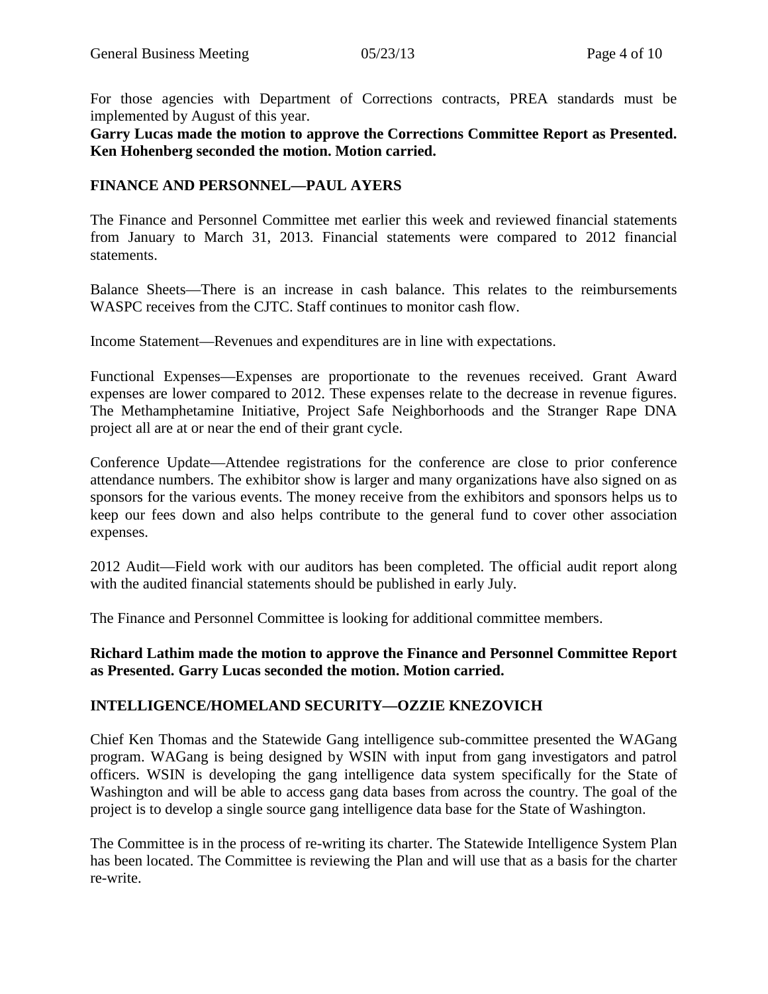For those agencies with Department of Corrections contracts, PREA standards must be implemented by August of this year.

**Garry Lucas made the motion to approve the Corrections Committee Report as Presented. Ken Hohenberg seconded the motion. Motion carried.** 

## **FINANCE AND PERSONNEL—PAUL AYERS**

The Finance and Personnel Committee met earlier this week and reviewed financial statements from January to March 31, 2013. Financial statements were compared to 2012 financial statements.

Balance Sheets—There is an increase in cash balance. This relates to the reimbursements WASPC receives from the CJTC. Staff continues to monitor cash flow.

Income Statement—Revenues and expenditures are in line with expectations.

Functional Expenses—Expenses are proportionate to the revenues received. Grant Award expenses are lower compared to 2012. These expenses relate to the decrease in revenue figures. The Methamphetamine Initiative, Project Safe Neighborhoods and the Stranger Rape DNA project all are at or near the end of their grant cycle.

Conference Update—Attendee registrations for the conference are close to prior conference attendance numbers. The exhibitor show is larger and many organizations have also signed on as sponsors for the various events. The money receive from the exhibitors and sponsors helps us to keep our fees down and also helps contribute to the general fund to cover other association expenses.

2012 Audit—Field work with our auditors has been completed. The official audit report along with the audited financial statements should be published in early July.

The Finance and Personnel Committee is looking for additional committee members.

**Richard Lathim made the motion to approve the Finance and Personnel Committee Report as Presented. Garry Lucas seconded the motion. Motion carried.** 

## **INTELLIGENCE/HOMELAND SECURITY—OZZIE KNEZOVICH**

Chief Ken Thomas and the Statewide Gang intelligence sub-committee presented the WAGang program. WAGang is being designed by WSIN with input from gang investigators and patrol officers. WSIN is developing the gang intelligence data system specifically for the State of Washington and will be able to access gang data bases from across the country. The goal of the project is to develop a single source gang intelligence data base for the State of Washington.

The Committee is in the process of re-writing its charter. The Statewide Intelligence System Plan has been located. The Committee is reviewing the Plan and will use that as a basis for the charter re-write.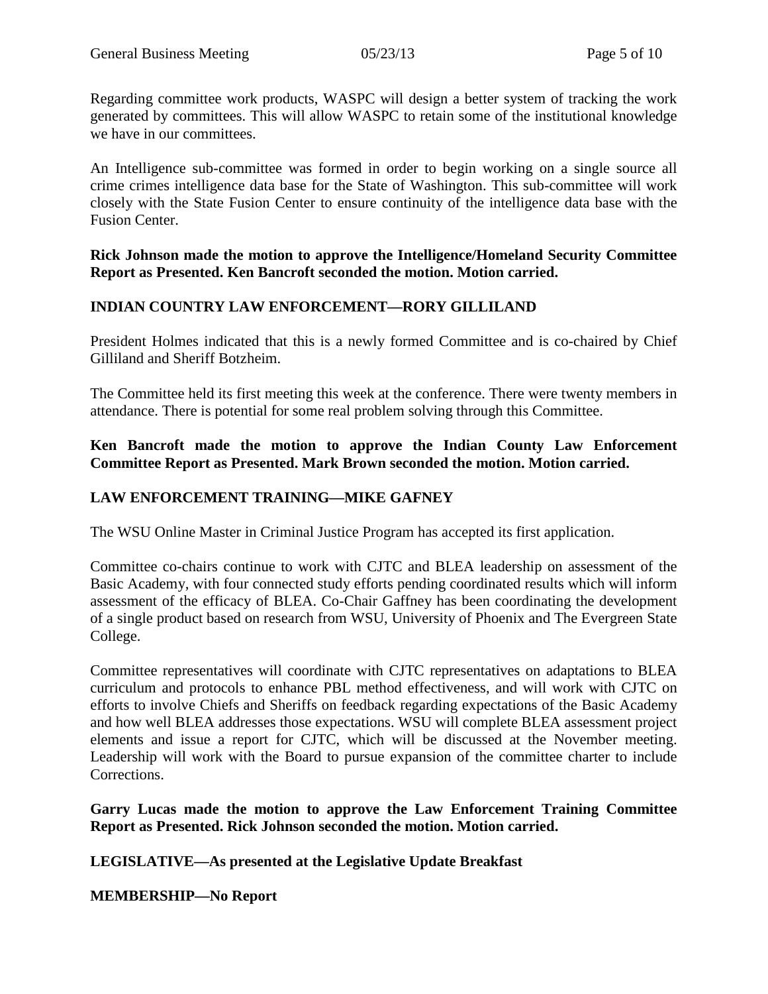Regarding committee work products, WASPC will design a better system of tracking the work generated by committees. This will allow WASPC to retain some of the institutional knowledge we have in our committees.

An Intelligence sub-committee was formed in order to begin working on a single source all crime crimes intelligence data base for the State of Washington. This sub-committee will work closely with the State Fusion Center to ensure continuity of the intelligence data base with the Fusion Center.

**Rick Johnson made the motion to approve the Intelligence/Homeland Security Committee Report as Presented. Ken Bancroft seconded the motion. Motion carried.** 

## **INDIAN COUNTRY LAW ENFORCEMENT—RORY GILLILAND**

President Holmes indicated that this is a newly formed Committee and is co-chaired by Chief Gilliland and Sheriff Botzheim.

The Committee held its first meeting this week at the conference. There were twenty members in attendance. There is potential for some real problem solving through this Committee.

## **Ken Bancroft made the motion to approve the Indian County Law Enforcement Committee Report as Presented. Mark Brown seconded the motion. Motion carried.**

# **LAW ENFORCEMENT TRAINING—MIKE GAFNEY**

The WSU Online Master in Criminal Justice Program has accepted its first application.

Committee co-chairs continue to work with CJTC and BLEA leadership on assessment of the Basic Academy, with four connected study efforts pending coordinated results which will inform assessment of the efficacy of BLEA. Co-Chair Gaffney has been coordinating the development of a single product based on research from WSU, University of Phoenix and The Evergreen State College.

Committee representatives will coordinate with CJTC representatives on adaptations to BLEA curriculum and protocols to enhance PBL method effectiveness, and will work with CJTC on efforts to involve Chiefs and Sheriffs on feedback regarding expectations of the Basic Academy and how well BLEA addresses those expectations. WSU will complete BLEA assessment project elements and issue a report for CJTC, which will be discussed at the November meeting. Leadership will work with the Board to pursue expansion of the committee charter to include Corrections.

**Garry Lucas made the motion to approve the Law Enforcement Training Committee Report as Presented. Rick Johnson seconded the motion. Motion carried.** 

**LEGISLATIVE—As presented at the Legislative Update Breakfast**

**MEMBERSHIP—No Report**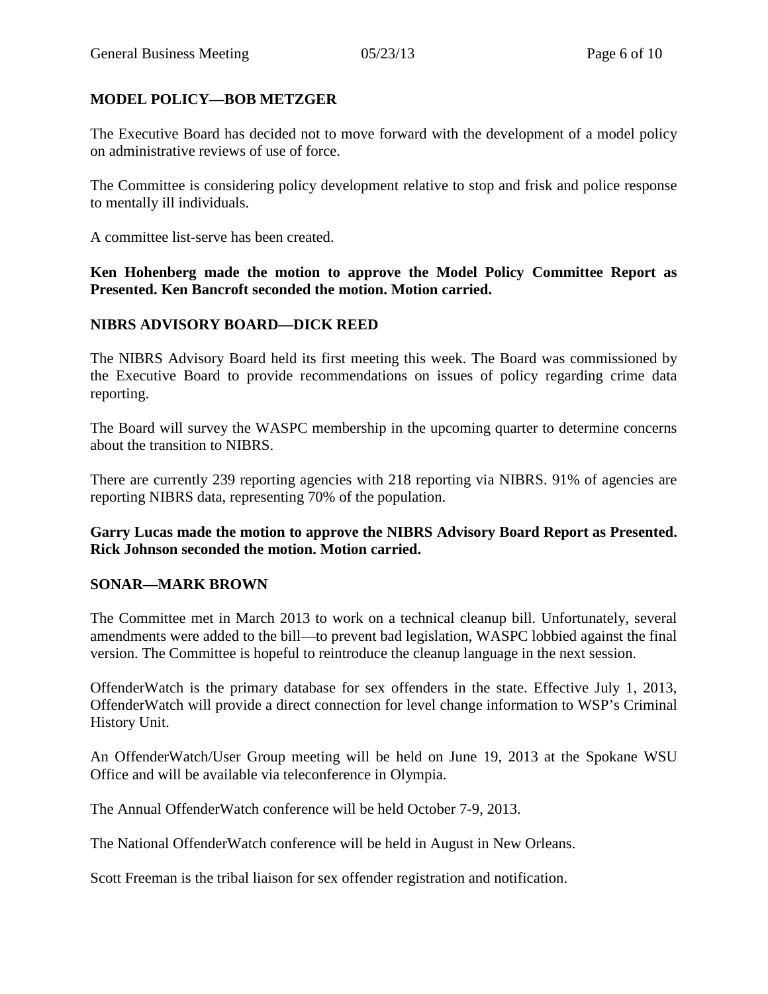# **MODEL POLICY—BOB METZGER**

The Executive Board has decided not to move forward with the development of a model policy on administrative reviews of use of force.

The Committee is considering policy development relative to stop and frisk and police response to mentally ill individuals.

A committee list-serve has been created.

**Ken Hohenberg made the motion to approve the Model Policy Committee Report as Presented. Ken Bancroft seconded the motion. Motion carried.** 

## **NIBRS ADVISORY BOARD—DICK REED**

The NIBRS Advisory Board held its first meeting this week. The Board was commissioned by the Executive Board to provide recommendations on issues of policy regarding crime data reporting.

The Board will survey the WASPC membership in the upcoming quarter to determine concerns about the transition to NIBRS.

There are currently 239 reporting agencies with 218 reporting via NIBRS. 91% of agencies are reporting NIBRS data, representing 70% of the population.

**Garry Lucas made the motion to approve the NIBRS Advisory Board Report as Presented. Rick Johnson seconded the motion. Motion carried.** 

## **SONAR—MARK BROWN**

The Committee met in March 2013 to work on a technical cleanup bill. Unfortunately, several amendments were added to the bill—to prevent bad legislation, WASPC lobbied against the final version. The Committee is hopeful to reintroduce the cleanup language in the next session.

OffenderWatch is the primary database for sex offenders in the state. Effective July 1, 2013, OffenderWatch will provide a direct connection for level change information to WSP's Criminal History Unit.

An OffenderWatch/User Group meeting will be held on June 19, 2013 at the Spokane WSU Office and will be available via teleconference in Olympia.

The Annual OffenderWatch conference will be held October 7-9, 2013.

The National OffenderWatch conference will be held in August in New Orleans.

Scott Freeman is the tribal liaison for sex offender registration and notification.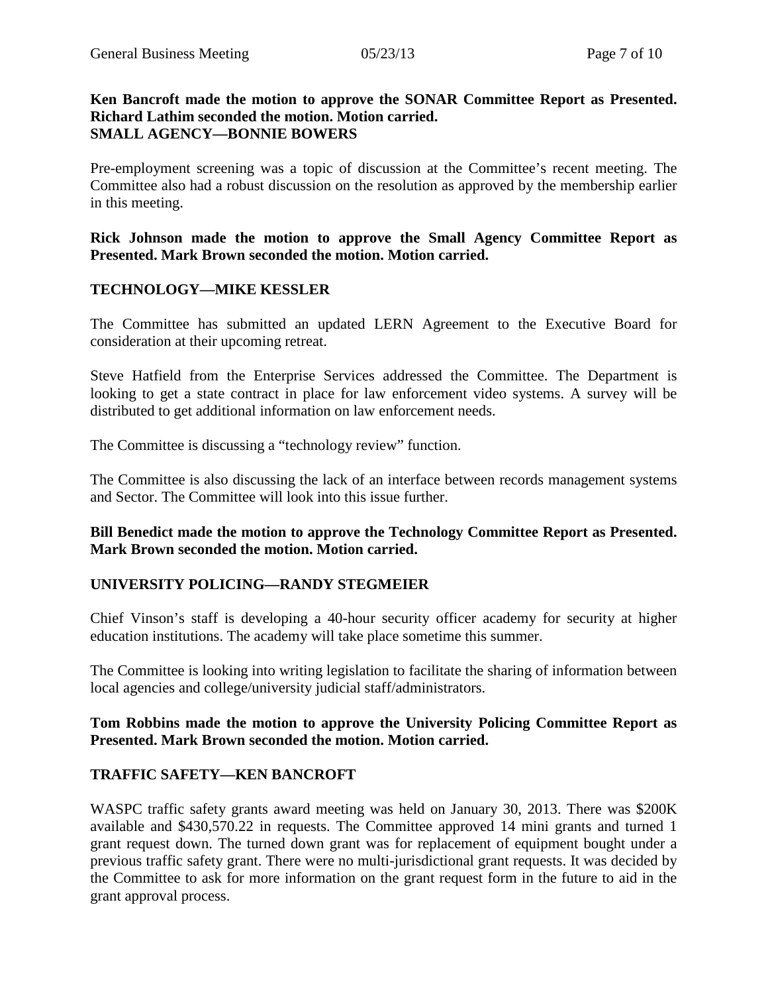#### **Ken Bancroft made the motion to approve the SONAR Committee Report as Presented. Richard Lathim seconded the motion. Motion carried. SMALL AGENCY—BONNIE BOWERS**

Pre-employment screening was a topic of discussion at the Committee's recent meeting. The Committee also had a robust discussion on the resolution as approved by the membership earlier in this meeting.

**Rick Johnson made the motion to approve the Small Agency Committee Report as Presented. Mark Brown seconded the motion. Motion carried.** 

## **TECHNOLOGY—MIKE KESSLER**

The Committee has submitted an updated LERN Agreement to the Executive Board for consideration at their upcoming retreat.

Steve Hatfield from the Enterprise Services addressed the Committee. The Department is looking to get a state contract in place for law enforcement video systems. A survey will be distributed to get additional information on law enforcement needs.

The Committee is discussing a "technology review" function.

The Committee is also discussing the lack of an interface between records management systems and Sector. The Committee will look into this issue further.

**Bill Benedict made the motion to approve the Technology Committee Report as Presented. Mark Brown seconded the motion. Motion carried.** 

## **UNIVERSITY POLICING—RANDY STEGMEIER**

Chief Vinson's staff is developing a 40-hour security officer academy for security at higher education institutions. The academy will take place sometime this summer.

The Committee is looking into writing legislation to facilitate the sharing of information between local agencies and college/university judicial staff/administrators.

## **Tom Robbins made the motion to approve the University Policing Committee Report as Presented. Mark Brown seconded the motion. Motion carried.**

## **TRAFFIC SAFETY—KEN BANCROFT**

WASPC traffic safety grants award meeting was held on January 30, 2013. There was \$200K available and \$430,570.22 in requests. The Committee approved 14 mini grants and turned 1 grant request down. The turned down grant was for replacement of equipment bought under a previous traffic safety grant. There were no multi-jurisdictional grant requests. It was decided by the Committee to ask for more information on the grant request form in the future to aid in the grant approval process.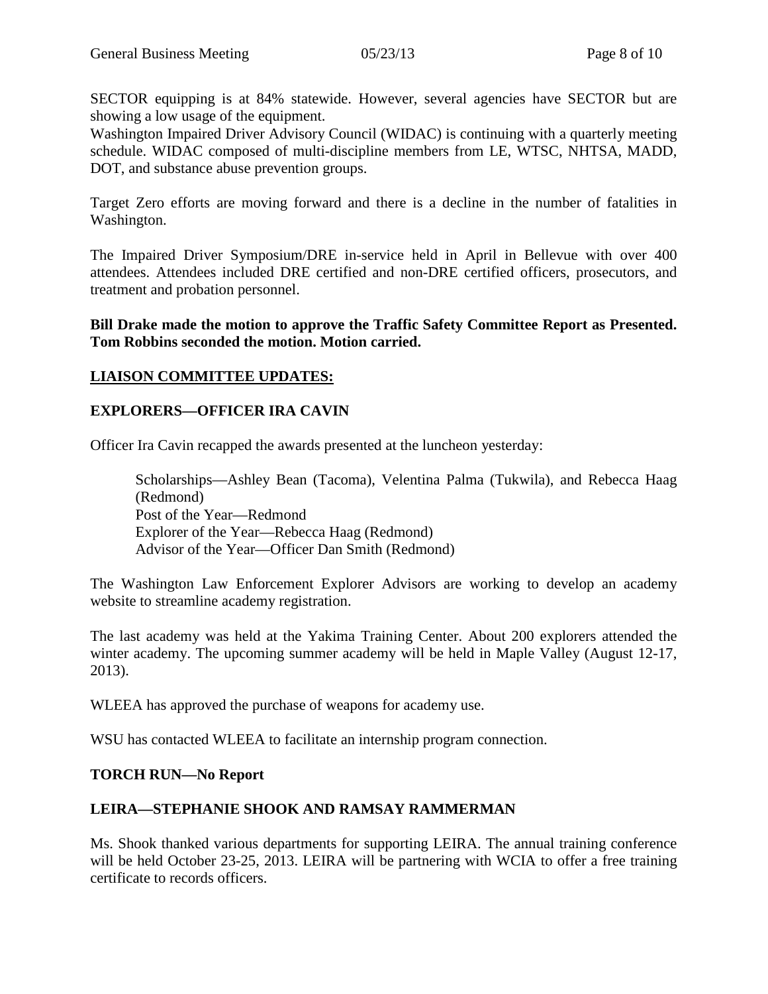SECTOR equipping is at 84% statewide. However, several agencies have SECTOR but are showing a low usage of the equipment.

Washington Impaired Driver Advisory Council (WIDAC) is continuing with a quarterly meeting schedule. WIDAC composed of multi-discipline members from LE, WTSC, NHTSA, MADD, DOT, and substance abuse prevention groups.

Target Zero efforts are moving forward and there is a decline in the number of fatalities in Washington.

The Impaired Driver Symposium/DRE in-service held in April in Bellevue with over 400 attendees. Attendees included DRE certified and non-DRE certified officers, prosecutors, and treatment and probation personnel.

#### **Bill Drake made the motion to approve the Traffic Safety Committee Report as Presented. Tom Robbins seconded the motion. Motion carried.**

## **LIAISON COMMITTEE UPDATES:**

## **EXPLORERS—OFFICER IRA CAVIN**

Officer Ira Cavin recapped the awards presented at the luncheon yesterday:

Scholarships—Ashley Bean (Tacoma), Velentina Palma (Tukwila), and Rebecca Haag (Redmond) Post of the Year—Redmond Explorer of the Year—Rebecca Haag (Redmond) Advisor of the Year—Officer Dan Smith (Redmond)

The Washington Law Enforcement Explorer Advisors are working to develop an academy website to streamline academy registration.

The last academy was held at the Yakima Training Center. About 200 explorers attended the winter academy. The upcoming summer academy will be held in Maple Valley (August 12-17, 2013).

WLEEA has approved the purchase of weapons for academy use.

WSU has contacted WLEEA to facilitate an internship program connection.

## **TORCH RUN—No Report**

# **LEIRA—STEPHANIE SHOOK AND RAMSAY RAMMERMAN**

Ms. Shook thanked various departments for supporting LEIRA. The annual training conference will be held October 23-25, 2013. LEIRA will be partnering with WCIA to offer a free training certificate to records officers.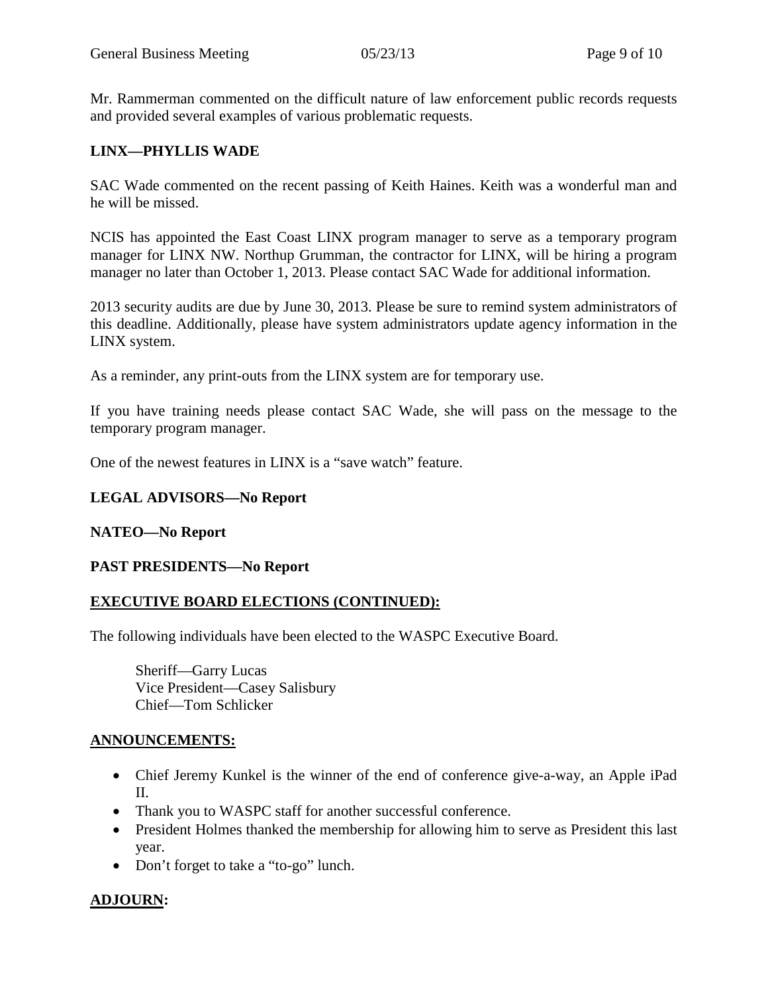Mr. Rammerman commented on the difficult nature of law enforcement public records requests and provided several examples of various problematic requests.

## **LINX—PHYLLIS WADE**

SAC Wade commented on the recent passing of Keith Haines. Keith was a wonderful man and he will be missed.

NCIS has appointed the East Coast LINX program manager to serve as a temporary program manager for LINX NW. Northup Grumman, the contractor for LINX, will be hiring a program manager no later than October 1, 2013. Please contact SAC Wade for additional information.

2013 security audits are due by June 30, 2013. Please be sure to remind system administrators of this deadline. Additionally, please have system administrators update agency information in the LINX system.

As a reminder, any print-outs from the LINX system are for temporary use.

If you have training needs please contact SAC Wade, she will pass on the message to the temporary program manager.

One of the newest features in LINX is a "save watch" feature.

#### **LEGAL ADVISORS—No Report**

#### **NATEO—No Report**

#### **PAST PRESIDENTS—No Report**

#### **EXECUTIVE BOARD ELECTIONS (CONTINUED):**

The following individuals have been elected to the WASPC Executive Board.

Sheriff—Garry Lucas Vice President—Casey Salisbury Chief—Tom Schlicker

#### **ANNOUNCEMENTS:**

- Chief Jeremy Kunkel is the winner of the end of conference give-a-way, an Apple iPad II.
- Thank you to WASPC staff for another successful conference.
- President Holmes thanked the membership for allowing him to serve as President this last year.
- Don't forget to take a "to-go" lunch.

# **ADJOURN:**